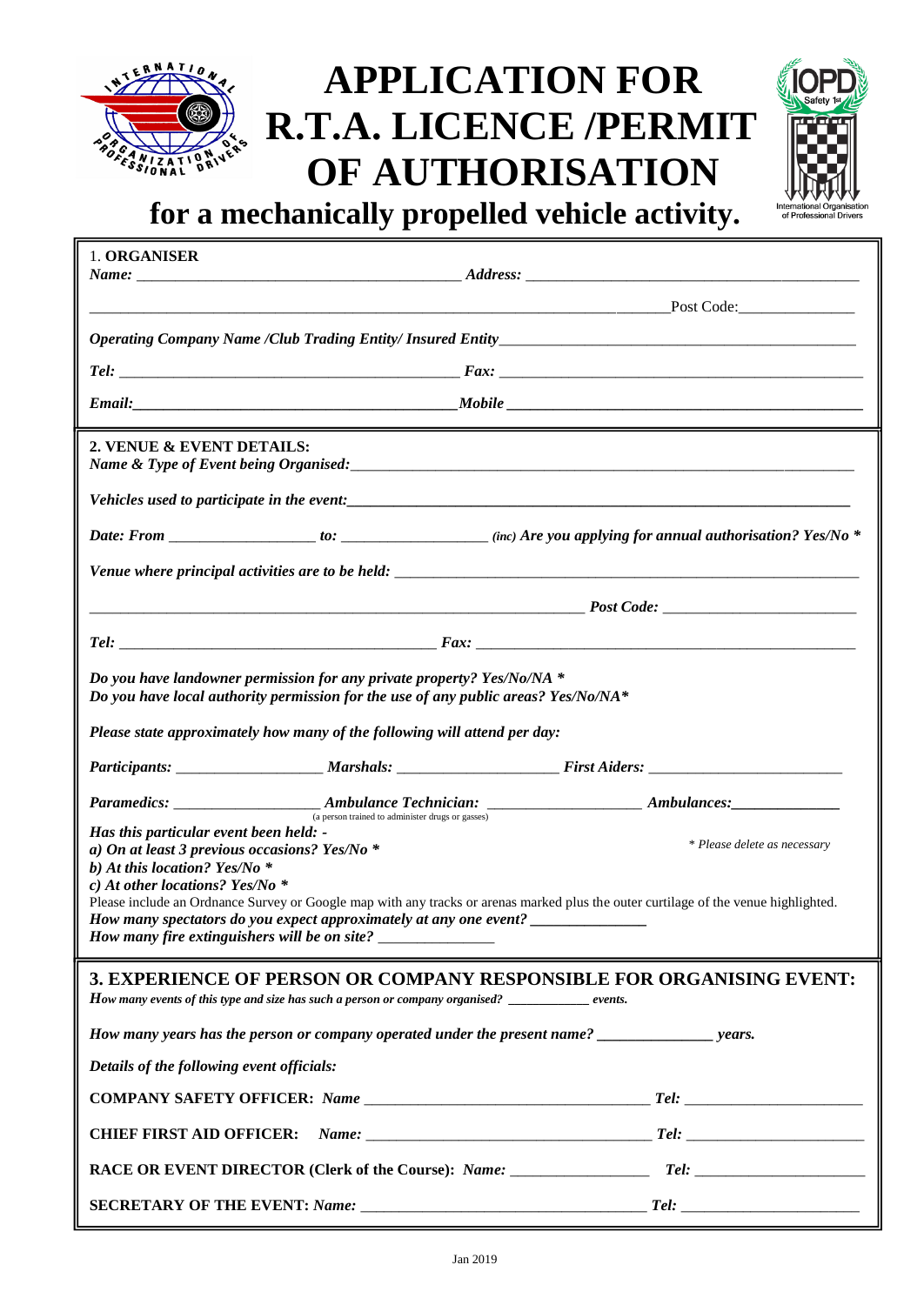

## **APPLICATION FOR R.T.A. LICENCE /PERMIT OF AUTHORISATION**



**for a mechanically propelled vehicle activity.**

| 1. ORGANISER<br>Name:                                                                                                                                           |                                                                                                                                                                                                                                           |                                                                                                                                                                     |
|-----------------------------------------------------------------------------------------------------------------------------------------------------------------|-------------------------------------------------------------------------------------------------------------------------------------------------------------------------------------------------------------------------------------------|---------------------------------------------------------------------------------------------------------------------------------------------------------------------|
|                                                                                                                                                                 |                                                                                                                                                                                                                                           |                                                                                                                                                                     |
|                                                                                                                                                                 |                                                                                                                                                                                                                                           |                                                                                                                                                                     |
|                                                                                                                                                                 |                                                                                                                                                                                                                                           |                                                                                                                                                                     |
|                                                                                                                                                                 |                                                                                                                                                                                                                                           |                                                                                                                                                                     |
| 2. VENUE & EVENT DETAILS:                                                                                                                                       |                                                                                                                                                                                                                                           |                                                                                                                                                                     |
|                                                                                                                                                                 |                                                                                                                                                                                                                                           |                                                                                                                                                                     |
|                                                                                                                                                                 |                                                                                                                                                                                                                                           |                                                                                                                                                                     |
|                                                                                                                                                                 |                                                                                                                                                                                                                                           | Venue where principal activities are to be held:                                                                                                                    |
|                                                                                                                                                                 |                                                                                                                                                                                                                                           |                                                                                                                                                                     |
|                                                                                                                                                                 |                                                                                                                                                                                                                                           |                                                                                                                                                                     |
|                                                                                                                                                                 | Do you have landowner permission for any private property? Yes/No/NA *<br>Do you have local authority permission for the use of any public areas? Yes/No/NA*<br>Please state approximately how many of the following will attend per day: |                                                                                                                                                                     |
|                                                                                                                                                                 |                                                                                                                                                                                                                                           |                                                                                                                                                                     |
| Has this particular event been held: -<br>a) On at least 3 previous occasions? Yes/No *<br>b) At this location? Yes/No $*$<br>c) At other locations? Yes/No $*$ | (a person trained to administer drugs or gasses)<br>How many spectators do you expect approximately at any one event? ______________                                                                                                      | * Please delete as necessary<br>Please include an Ordnance Survey or Google map with any tracks or arenas marked plus the outer curtilage of the venue highlighted. |
|                                                                                                                                                                 | How many events of this type and size has such a person or company organised? $\frac{1}{\sqrt{1-\frac{1}{n}}}\$ events.                                                                                                                   | 3. EXPERIENCE OF PERSON OR COMPANY RESPONSIBLE FOR ORGANISING EVENT:                                                                                                |
|                                                                                                                                                                 |                                                                                                                                                                                                                                           |                                                                                                                                                                     |
| Details of the following event officials:                                                                                                                       |                                                                                                                                                                                                                                           |                                                                                                                                                                     |
|                                                                                                                                                                 |                                                                                                                                                                                                                                           |                                                                                                                                                                     |
| <b>CHIEF FIRST AID OFFICER:</b>                                                                                                                                 |                                                                                                                                                                                                                                           |                                                                                                                                                                     |
|                                                                                                                                                                 |                                                                                                                                                                                                                                           |                                                                                                                                                                     |
|                                                                                                                                                                 |                                                                                                                                                                                                                                           |                                                                                                                                                                     |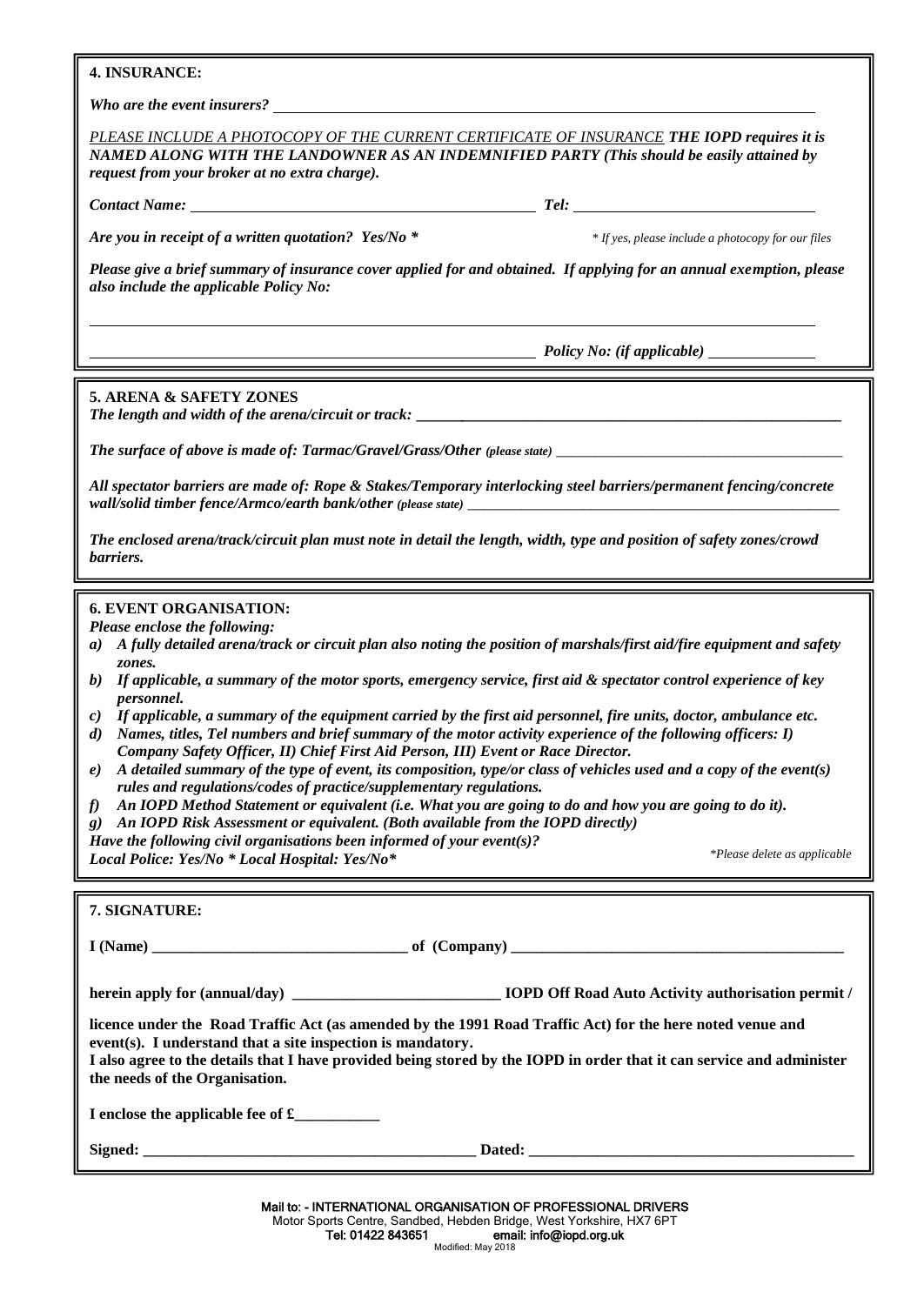### **4. INSURANCE:**

*Who are the event insurers?* 

*PLEASE INCLUDE A PHOTOCOPY OF THE CURRENT CERTIFICATE OF INSURANCE THE IOPD requires it is NAMED ALONG WITH THE LANDOWNER AS AN INDEMNIFIED PARTY (This should be easily attained by request from your broker at no extra charge).*

*Contact Name: Tel:* 

*Are you in receipt of a written quotation? Yes/No \* \* If yes, please include a photocopy for our files*

*\*Please delete as applicable*

*Please give a brief summary of insurance cover applied for and obtained. If applying for an annual exemption, please also include the applicable Policy No:*

 *Policy No: (if applicable)* 

### **5. ARENA & SAFETY ZONES**

*The length and width of the arena/circuit or track:* **\_\_\_\_\_\_***\_\_\_\_\_\_\_\_\_\_\_\_\_\_\_\_\_\_\_\_\_\_\_\_\_\_\_\_\_\_\_\_\_\_\_\_\_\_\_\_\_\_\_\_\_\_\_\_\_*

*The surface of above is made of: Tarmac/Gravel/Grass/Other (please state)* 

*All spectator barriers are made of: Rope & Stakes/Temporary interlocking steel barriers/permanent fencing/concrete*  wall/solid timber fence/Armco/earth bank/other (please state)

*The enclosed arena/track/circuit plan must note in detail the length, width, type and position of safety zones/crowd barriers.*

#### **6. EVENT ORGANISATION:**

*Please enclose the following:*

- *a) A fully detailed arena/track or circuit plan also noting the position of marshals/first aid/fire equipment and safety zones.*
- *b) If applicable, a summary of the motor sports, emergency service, first aid & spectator control experience of key personnel.*
- *c) If applicable, a summary of the equipment carried by the first aid personnel, fire units, doctor, ambulance etc.*
- *d) Names, titles, Tel numbers and brief summary of the motor activity experience of the following officers: I) Company Safety Officer, II) Chief First Aid Person, III) Event or Race Director.*
- *e) A detailed summary of the type of event, its composition, type/or class of vehicles used and a copy of the event(s) rules and regulations/codes of practice/supplementary regulations.*
- *f) An IOPD Method Statement or equivalent (i.e. What you are going to do and how you are going to do it).*
- *g) An IOPD Risk Assessment or equivalent. (Both available from the IOPD directly)*

*Have the following civil organisations been informed of your event(s)?* 

*Local Police: Yes/No \* Local Hospital: Yes/No\**

| 7. SIGNATURE:                                                                                                                                                                                                                                                                                                                       |  |  |  |
|-------------------------------------------------------------------------------------------------------------------------------------------------------------------------------------------------------------------------------------------------------------------------------------------------------------------------------------|--|--|--|
|                                                                                                                                                                                                                                                                                                                                     |  |  |  |
|                                                                                                                                                                                                                                                                                                                                     |  |  |  |
| licence under the Road Traffic Act (as amended by the 1991 Road Traffic Act) for the here noted venue and<br>event(s). I understand that a site inspection is mandatory.<br>I also agree to the details that I have provided being stored by the IOPD in order that it can service and administer<br>the needs of the Organisation. |  |  |  |
| I enclose the applicable fee of £                                                                                                                                                                                                                                                                                                   |  |  |  |
|                                                                                                                                                                                                                                                                                                                                     |  |  |  |